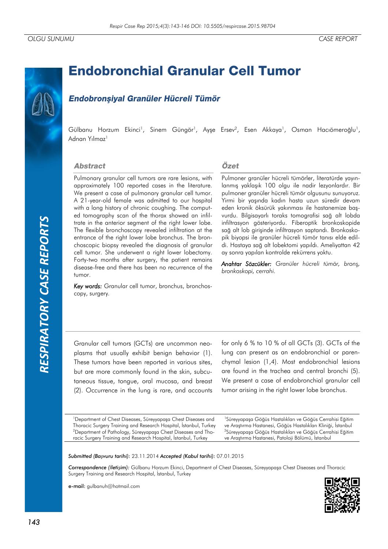# *RESPIRATORY CASE REPORTS*RESPIRATORY CASE REPORTS

# **Endobronchial Granular Cell Tumor**

# **Endobronsival Granüler Hücreli Tümör**

Gülbanu Horzum Ekinci<sup>1</sup>, Sinem Güngör<sup>1</sup>, Ayşe Ersev<sup>2</sup>, Esen Akkaya<sup>1</sup>, Osman Hacıömeroğlu<sup>1</sup>, Adnan Yılmaz<sup>1</sup>

### **Abstract**

Pulmonary granular cell tumors are rare lesions, with approximately 100 reported cases in the literature. We present a case of pulmonary granular cell tumor. A 21-year-old female was admitted to our hospital with a long history of chronic coughing. The computed tomography scan of the thorax showed an infiltrate in the anterior segment of the right lower lobe. The flexible bronchoscopy revealed infiltration at the entrance of the right lower lobe bronchus. The bronchoscopic biopsy revealed the diagnosis of granular cell tumor. She underwent a right lower lobectomy. Forty-two months after surgery, the patient remains disease-free and there has been no recurrence of the tumor.

Key words: Granular cell tumor, bronchus, bronchoscopy, surgery*.*

## Özet

Pulmoner granüler hücreli tümörler, literatürde yayınlanmış yaklaşık 100 olgu ile nadir lezyonlardır. Bir pulmoner granüler hücreli tümör olgusunu sunuyoruz. Yirmi bir yaşında kadın hasta uzun süredir devam eden kronik öksürük yakınması ile hastanemize başvurdu. Bilgisayarlı toraks tomografisi sağ alt lobda infiltrasyon gösteriyordu. Fiberoptik bronkoskopide sağ alt lob girişinde infiltrasyon saptandı. Bronkoskopik biyopsi ile granüler hücreli tümör tanısı elde edildi. Hastaya sağ alt lobektomi yapıldı. Ameliyattan 42 ay sonra yapılan kontrolde rekürrens yoktu.

*Anahtar Sözcükler: Granüler hücreli tümör, bronş, bronkoskopi, cerrahi.*

Granular cell tumors (GCTs) are uncommon neoplasms that usually exhibit benign behavior (1). These tumors have been reported in various sites, but are more commonly found in the skin, subcutaneous tissue, tongue, oral mucosa, and breast (2). Occurrence in the lung is rare, and accounts

for only 6 % to 10 % of all GCTs (3). GCTs of the lung can present as an endobronchial or parenchymal lesion (1,4). Most endobronchial lesions are found in the trachea and central bronchi (5). We present a case of endobronchial granular cell tumor arising in the right lower lobe bronchus.

<sup>1</sup>Department of Chest Diseases, Süreyyapaşa Chest Diseases and Thoracic Surgery Training and Research Hospital, İstanbul, Turkey <sup>2</sup>Department of Pathology, Süreyyapaşa Chest Diseases and Thoracic Surgery Training and Research Hospital, İstanbul, Turkey

<sup>1</sup>Süreyyapaşa Göğüs Hastalıkları ve Göğüs Cerrahisi Eğitim ve Araştırma Hastanesi, Göğüs Hastalıkları Kliniği, İstanbul <sup>2</sup>Süreyyapaşa Göğüs Hastalıkları ve Göğüs Cerrahisi Eğitim ve Araştırma Hastanesi, Patoloji Bölümü, İstanbul

*Submitted (Başvuru tarihi):* 23.11.2014 *Accepted (Kabul tarihi):* 07.01.2015

*Correspondence (İletişim):* Gülbanu Horzum Ekinci, Department of Chest Diseases, Süreyyapaşa Chest Diseases and Thoracic Surgery Training and Research Hospital, İstanbul, Turkey

e-mail: gulbanuh@hotmail.com

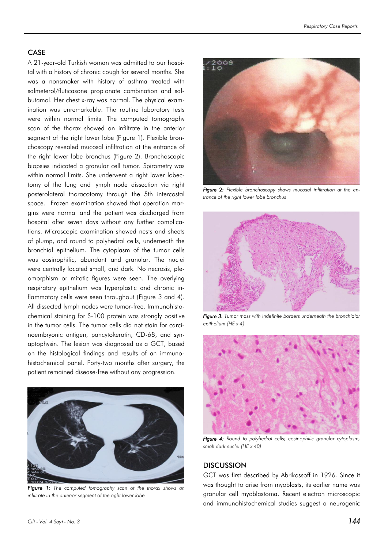### CASE

A 21-year-old Turkish woman was admitted to our hospital with a history of chronic cough for several months. She was a nonsmoker with history of asthma treated with salmeterol/fluticasone propionate combination and salbutamol. Her chest x-ray was normal. The physical examination was unremarkable. The routine laboratory tests were within normal limits. The computed tomography scan of the thorax showed an infiltrate in the anterior segment of the right lower lobe (Figure 1). Flexible bronchoscopy revealed mucosal infiltration at the entrance of the right lower lobe bronchus (Figure 2). Bronchoscopic biopsies indicated a granular cell tumor. Spirometry was within normal limits. She underwent a right lower lobectomy of the lung and lymph node dissection via right posterolateral thoracotomy through the 5th intercostal space. Frozen examination showed that operation margins were normal and the patient was discharged from hospital after seven days without any further complications. Microscopic examination showed nests and sheets of plump, and round to polyhedral cells, underneath the bronchial epithelium. The cytoplasm of the tumor cells was eosinophilic, abundant and granular. The nuclei were centrally located small, and dark. No necrosis, pleomorphism or mitotic figures were seen. The overlying respiratory epithelium was hyperplastic and chronic inflammatory cells were seen throughout (Figure 3 and 4). All dissected lymph nodes were tumor-free. Immunohistochemical staining for S-100 protein was strongly positive in the tumor cells. The tumor cells did not stain for carcinoembryonic antigen, pancytokeratin, CD-68, and synaptophysin. The lesion was diagnosed as a GCT, based on the histological findings and results of an immunohistochemical panel. Forty-two months after surgery, the patient remained disease-free without any progression.



*Figure 1: The computed tomography scan of the thorax shows an infiltrate in the anterior segment of the right lower lobe*



*Figure 2: Flexible bronchoscopy shows mucosal infiltration at the entrance of the right lower lobe bronchus*



*Figure 3: Tumor mass with indefinite borders underneath the bronchiolar epithelium (HE x 4)*



*Figure 4: Round to polyhedral cells; eosinophilic granular cytoplasm, small dark nuclei (HE x 40)*

### **DISCUSSION**

GCT was first described by Abrikossoff in 1926. Since it was thought to arise from myoblasts, its earlier name was granular cell myoblastoma. Recent electron microscopic and immunohistochemical studies suggest a neurogenic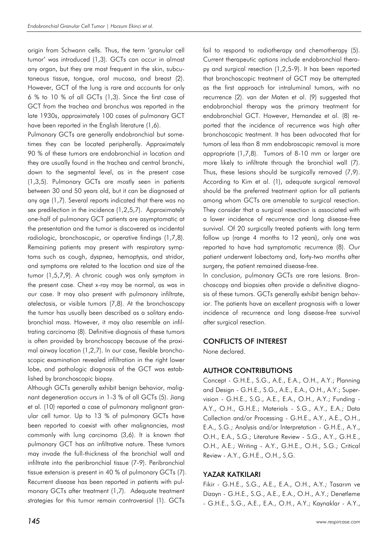origin from Schwann cells. Thus, the term 'granular cell tumor' was introduced (1,3). GCTs can occur in almost any organ, but they are most frequent in the skin, subcutaneous tissue, tongue, oral mucosa, and breast (2). However, GCT of the lung is rare and accounts for only 6 % to 10 % of all GCTs (1,3). Since the first case of GCT from the trachea and bronchus was reported in the late 1930s, approximately 100 cases of pulmonary GCT have been reported in the English literature (1,6).

Pulmonary GCTs are generally endobronchial but sometimes they can be located peripherally. Approximately 90 % of these tumors are endobronchial in location and they are usually found in the trachea and central bronchi, down to the segmental level, as in the present case (1,3,5). Pulmonary GCTs are mostly seen in patients between 30 and 50 years old, but it can be diagnosed at any age (1,7). Several reports indicated that there was no sex predilection in the incidence (1,2,5,7). Approximately one-half of pulmonary GCT patients are asymptomatic at the presentation and the tumor is discovered as incidental radiologic, bronchoscopic, or operative findings (1,7,8). Remaining patients may present with respiratory symptoms such as cough, dyspnea, hemoptysis, and stridor, and symptoms are related to the location and size of the tumor (1,5,7,9). A chronic cough was only symptom in the present case. Chest x-ray may be normal, as was in our case. It may also present with pulmonary infiltrate, atelectasis, or visible tumors (7,8). At the bronchoscopy the tumor has usually been described as a solitary endobronchial mass. However, it may also resemble an infiltrating carcinoma (8). Definitive diagnosis of these tumors is often provided by bronchoscopy because of the proximal airway location (1,2,7). In our case, flexible bronchoscopic examination revealed infiltration in the right lower lobe, and pathologic diagnosis of the GCT was established by bronchoscopic biopsy.

Although GCTs generally exhibit benign behavior, malignant degeneration occurs in 1-3 % of all GCTs (5). Jiang et al. (10) reported a case of pulmonary malignant granular cell tumor. Up to 13 % of pulmonary GCTs have been reported to coexist with other malignancies, most commonly with lung carcinoma (3,6). It is known that pulmonary GCT has an infiltrative nature. These tumors may invade the full-thickness of the bronchial wall and infiltrate into the peribronchial tissue (7-9). Peribronchial tissue extension is present in 40 % of pulmonary GCTs (7). Recurrent disease has been reported in patients with pulmonary GCTs after treatment (1,7). Adequate treatment strategies for this tumor remain controversial (1). GCTs

fail to respond to radiotherapy and chemotherapy (5). Current therapeutic options include endobronchial therapy and surgical resection (1,2,5-9). It has been reported that bronchoscopic treatment of GCT may be attempted as the first approach for intraluminal tumors, with no recurrence (2). van der Maten et al. (9) suggested that endobronchial therapy was the primary treatment for endobronchial GCT. However, Hernandez et al. (8) reported that the incidence of recurrence was high after bronchoscopic treatment. It has been advocated that for tumors of less than 8 mm endobroscopic removal is more appropriate (1,7,8). Tumors of 8-10 mm or larger are more likely to infiltrate through the bronchial wall (7). Thus, these lesions should be surgically removed (7,9). According to Kim et al. (1), adequate surgical removal should be the preferred treatment option for all patients among whom GCTs are amenable to surgical resection. They consider that a surgical resection is associated with a lower incidence of recurrence and long disease-free survival. Of 20 surgically treated patients with long term follow up (range 4 months to 12 years), only one was reported to have had symptomatic recurrence (8). Our patient underwent lobectomy and, forty-two months after surgery, the patient remained disease-free.

In conclusion, pulmonary GCTs are rare lesions. Bronchoscopy and biopsies often provide a definitive diagnosis of these tumors. GCTs generally exhibit benign behavior. The patients have an excellent prognosis with a lower incidence of recurrence and long disease-free survival after surgical resection.

### CONFLICTS OF INTEREST

None declared.

### AUTHOR CONTRIBUTIONS

Concept - G.H.E., S.G., A.E., E.A., O.H., A.Y.; Planning and Design - G.H.E., S.G., A.E., E.A., O.H., A.Y.; Supervision - G.H.E., S.G., A.E., E.A., O.H., A.Y.; Funding - A.Y., O.H., G.H.E.; Materials - S.G., A.Y., E.A.; Data Collection and/or Processing - G.H.E., A.Y., A.E., O.H., E.A., S.G.; Analysis and/or Interpretation - G.H.E., A.Y., O.H., E.A., S.G.; Literature Review - S.G., A.Y., G.H.E., O.H., A.E.; Writing - A.Y., G.H.E., O.H., S.G.; Critical Review - A.Y., G.H.E., O.H., S.G.

### YAZAR KATKILARI

Fikir - G.H.E., S.G., A.E., E.A., O.H., A.Y.; Tasarım ve Dizayn - G.H.E., S.G., A.E., E.A., O.H., A.Y.; Denetleme - G.H.E., S.G., A.E., E.A., O.H., A.Y.; Kaynaklar - A.Y.,